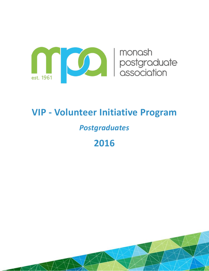

# **VIP - Volunteer Initiative Program**

# *Postgraduates*

**2016**

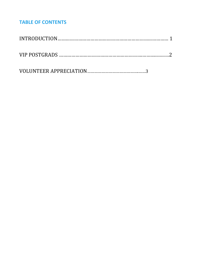## **TABLE OF CONTENTS**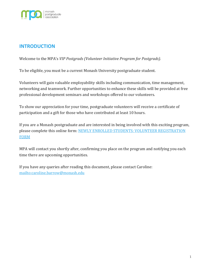

### **INTRODUCTION**

Welcome to the MPA's *VIP Postgrads (Volunteer Initiative Program for Postgrads).*

To be eligible, you must be a current Monash University postgraduate student.

Volunteers will gain valuable employability skills including communication, time management, networking and teamwork. Further opportunities to enhance these skills will be provided at free professional development seminars and workshops offered to our volunteers.

To show our appreciation for your time, postgraduate volunteers will receive a certificate of participation and a gift for those who have contributed at least 10 hours.

If you are a Monash postgraduate and are interested in being involved with this exciting program, please complete this online form: [NEWLY ENROLLED STUDENTS: VOLUNTEER REGISTRATION](http://goo.gl/forms/lKurOtUsQrq0Jvcr2)  [FORM](http://goo.gl/forms/lKurOtUsQrq0Jvcr2)

MPA will contact you shortly after, confirming you place on the program and notifying you each time there are upcoming opportunities.

If you have any queries after reading this document, please contact Caroline: <mailto:caroline.barrow@monash.edu>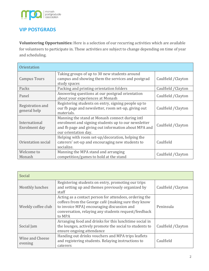

## **VIP POSTGRADS**

**Volunteering Opportunities:** Here is a selection of our recurring activities which are available for volunteers to participate in. These activities are subject to change depending on time of year and scheduling.

| <b>Orientation</b>               |                                                                                                                                                                                        |                     |
|----------------------------------|----------------------------------------------------------------------------------------------------------------------------------------------------------------------------------------|---------------------|
| <b>Campus Tours</b>              | Taking groups of up to 30 new students around<br>campus and showing them the services and postgrad<br>study spaces                                                                     | Caulfield / Clayton |
| Packs                            | Packing and printing orientation folders                                                                                                                                               | Caulfield / Clayton |
| Panel                            | Answering questions at our postgrad orientation<br>about your experiences at Monash                                                                                                    | Caulfield / Clayton |
| Registration and<br>general help | Registering students on entry, signing people up to<br>our fb page and newsletter, room set-up, giving out<br>materials.                                                               | Caulfield / Clayton |
| International<br>Enrolment day   | Manning the stand at Monash connect during intl<br>enrolment and signing students up to our newsletter<br>and fb page and giving out information about MPA and<br>our orientation day. | Caulfield / Clayton |
| Orientation social               | Helping with room set-up/decoration, helping the<br>caterers' set-up and encouraging new students to<br>socialize.                                                                     | Caulfield           |
| Welcome to<br>Monash             | Manning the MPA stand and arranging<br>competition/games to hold at the stand                                                                                                          | Caulfield / Clayton |

| Social                     |                                                                                                                                                                                                                               |                     |
|----------------------------|-------------------------------------------------------------------------------------------------------------------------------------------------------------------------------------------------------------------------------|---------------------|
| Monthly lunches            | Registering students on entry, promoting our trips<br>and setting up and themes previously organized by<br>staff                                                                                                              | Caulfield / Clayton |
| Weekly coffee club         | Acting as a contact person for attendees, ordering the<br>coffees from the George café (making sure they know<br>to invoice MPA) encouraging discussion and<br>conversation, relaying any students request/feedback<br>to MPA | Peninsula           |
| Social Jam                 | Arranging food and drinks for this lunchtime social in<br>the lounges, actively promote the social to students to<br>ensure ongoing attendance                                                                                | Caulfield / Clayton |
| Wine and Cheese<br>evening | Handing out drinks vouchers and MPA trips leaflets<br>and registering students. Relaying instructions to<br>caterers                                                                                                          | Caulfield           |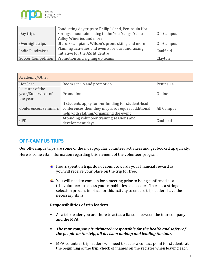

| Day trips                                            | Conducting day trips to Philip Island, Peninsula Hot<br>Springs, mountain biking in the You-Yangs, Yarra<br>Valley Wineries and more | Off-Campus |  |
|------------------------------------------------------|--------------------------------------------------------------------------------------------------------------------------------------|------------|--|
| Overnight trips                                      | Uluru, Grampians, Wilson's prom, skiing and more                                                                                     | Off-Campus |  |
| India Fundraiser                                     | Planning activities and events for our fundraising<br>initiative for the ASHA Centre                                                 | Caulfield  |  |
| Promotion and signing up teams<br>Soccer Competition |                                                                                                                                      | Clayton    |  |

| Academic/Other                                    |                                                                                                                                                    |            |  |
|---------------------------------------------------|----------------------------------------------------------------------------------------------------------------------------------------------------|------------|--|
| <b>Hot Seat</b>                                   | Room set-up and promotion                                                                                                                          | Peninsula  |  |
| Lecturer of the<br>year/Supervisor of<br>the year | Promotion                                                                                                                                          | Online     |  |
| Conferences/seminars                              | If students apply for our funding for student-lead<br>conferences then they may also request additional<br>help with staffing/organizing the event | All Campus |  |
| <b>CPD</b>                                        | Attending volunteer training sessions and<br>development days                                                                                      | Caulfield  |  |

#### **OFF-CAMPUS TRIPS**

Our off-campus trips are some of the most popular volunteer activities and get booked up quickly. Here is some vital information regarding this element of the volunteer program.

- $\ddot{\phantom{1}}$  Hours spent on trips do not count towards your financial reward as you will receive your place on the trip for free.
- $\ddot{\bullet}$  You will need to come in for a meeting prior to being confirmed as a trip volunteer to assess your capabilities as a leader. There is a stringent selection process in place for this activity to ensure trip leaders have the necessary skills.

#### **Responsibilities of trip leaders**

- As a trip leader you are there to act as a liaison between the tour company and the MPA.
- *The tour company is ultimately responsible for the health and safety of the people on the trip, all decision making and leading the tour.*
- MPA volunteer trip leaders will need to act as a contact point for students at the beginning of the trip, check off names on the register when leaving each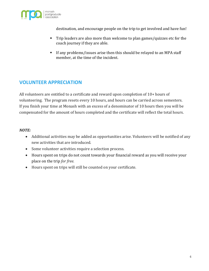

destination, and encourage people on the trip to get involved and have fun!

- Trip leaders are also more than welcome to plan games/quizzes etc for the coach journey if they are able.
- If any problems/issues arise then this should be relayed to an MPA staff member, at the time of the incident.

### **VOLUNTEER APPRECIATION**

All volunteers are entitled to a certificate and reward upon completion of 10+ hours of volunteering. The program resets every 10 hours, and hours can be carried across semesters. If you finish your time at Monash with an excess of a denominator of 10 hours then you will be compensated for the amount of hours completed and the certificate will reflect the total hours.

#### *NOTE:*

- Additional activities may be added as opportunities arise. Volunteers will be notified of any new activities that are introduced.
- Some volunteer activities require a selection process.
- Hours spent on trips do not count towards your financial reward as you will receive your place on the trip *for free*.
- Hours spent on trips will still be counted on your certificate.